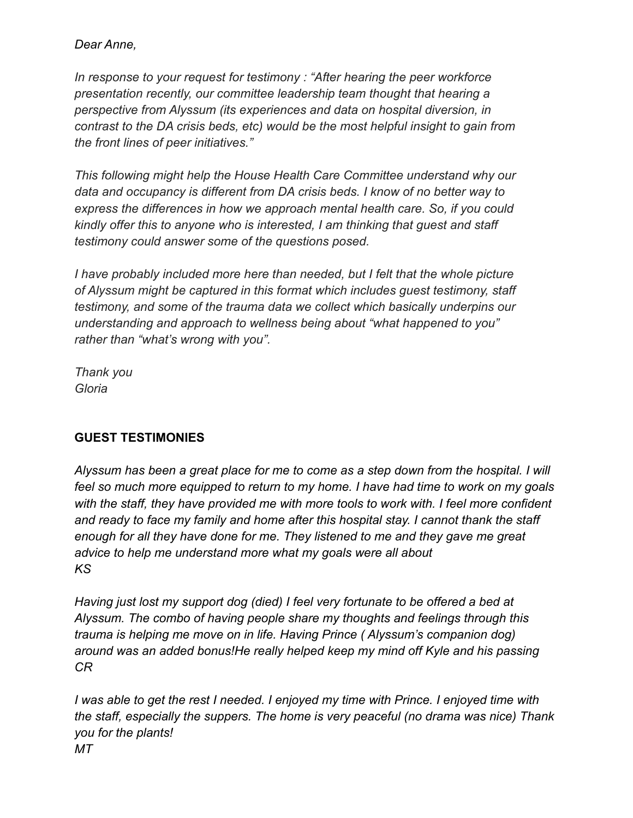### *Dear Anne,*

*In response to your request for testimony : "After hearing the peer workforce presentation recently, our committee leadership team thought that hearing a perspective from Alyssum (its experiences and data on hospital diversion, in contrast to the DA crisis beds, etc) would be the most helpful insight to gain from the front lines of peer initiatives."*

*This following might help the House Health Care Committee understand why our data and occupancy is different from DA crisis beds. I know of no better way to express the differences in how we approach mental health care. So, if you could kindly offer this to anyone who is interested, I am thinking that guest and staff testimony could answer some of the questions posed.*

*I have probably included more here than needed, but I felt that the whole picture of Alyssum might be captured in this format which includes guest testimony, staff testimony, and some of the trauma data we collect which basically underpins our understanding and approach to wellness being about "what happened to you" rather than "what's wrong with you".*

*Thank you Gloria*

# **GUEST TESTIMONIES**

*Alyssum has been a great place for me to come as a step down from the hospital. I will feel so much more equipped to return to my home. I have had time to work on my goals with the staff, they have provided me with more tools to work with. I feel more confident and ready to face my family and home after this hospital stay. I cannot thank the staff enough for all they have done for me. They listened to me and they gave me great advice to help me understand more what my goals were all about KS*

*Having just lost my support dog (died) I feel very fortunate to be offered a bed at Alyssum. The combo of having people share my thoughts and feelings through this trauma is helping me move on in life. Having Prince ( Alyssum's companion dog) around was an added bonus!He really helped keep my mind off Kyle and his passing CR*

*I was able to get the rest I needed. I enjoyed my time with Prince. I enjoyed time with the staff, especially the suppers. The home is very peaceful (no drama was nice) Thank you for the plants! MT*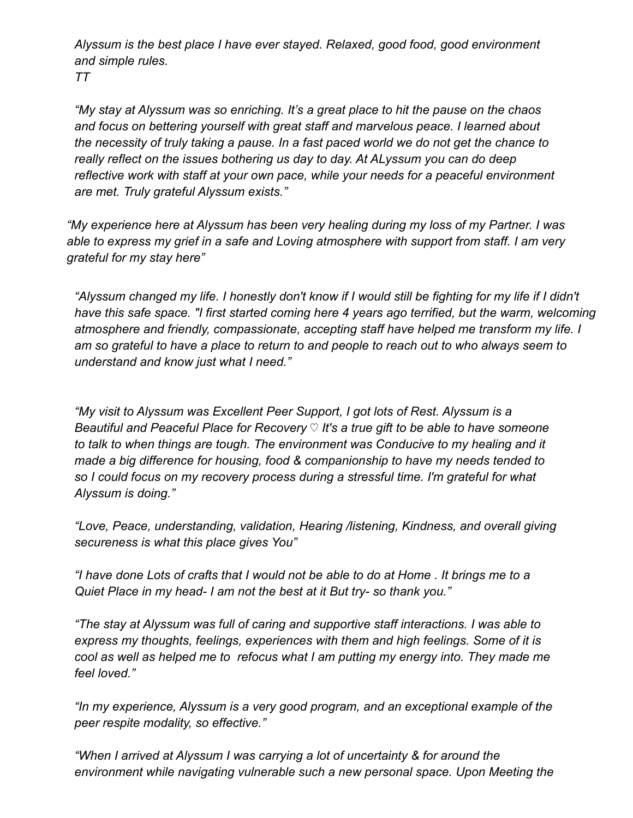*Alyssum is the best place I have ever stayed. Relaxed, good food, good environment and simple rules.*

*TT*

*"My stay at Alyssum was so enriching. It's a great place to hit the pause on the chaos and focus on bettering yourself with great staff and marvelous peace. I learned about the necessity of truly taking a pause. In a fast paced world we do not get the chance to really reflect on the issues bothering us day to day. At ALyssum you can do deep reflective work with staff at your own pace, while your needs for a peaceful environment are met. Truly grateful Alyssum exists."*

*"My experience here at Alyssum has been very healing during my loss of my Partner. I was able to express my grief in a safe and Loving atmosphere with support from staff. I am very grateful for my stay here"*

*"Alyssum changed my life. I honestly don't know if I would still be fighting for my life if I didn't have this safe space. "I first started coming here 4 years ago terrified, but the warm, welcoming atmosphere and friendly, compassionate, accepting staff have helped me transform my life. I am so grateful to have a place to return to and people to reach out to who always seem to understand and know just what I need."*

*"My visit to Alyssum was Excellent Peer Support, I got lots of Rest. Alyssum is a Beautiful and Peaceful Place for Recovery* ♡ *It's a true gift to be able to have someone to talk to when things are tough. The environment was Conducive to my healing and it made a big difference for housing, food & companionship to have my needs tended to so I could focus on my recovery process during a stressful time. I'm grateful for what Alyssum is doing."*

*"Love, Peace, understanding, validation, Hearing /listening, Kindness, and overall giving secureness is what this place gives You"*

*"I have done Lots of crafts that I would not be able to do at Home . It brings me to a Quiet Place in my head- I am not the best at it But try- so thank you."*

*"The stay at Alyssum was full of caring and supportive staff interactions. I was able to express my thoughts, feelings, experiences with them and high feelings. Some of it is cool as well as helped me to refocus what I am putting my energy into. They made me feel loved."*

*"In my experience, Alyssum is a very good program, and an exceptional example of the peer respite modality, so effective."*

*"When I arrived at Alyssum I was carrying a lot of uncertainty & for around the environment while navigating vulnerable such a new personal space. Upon Meeting the*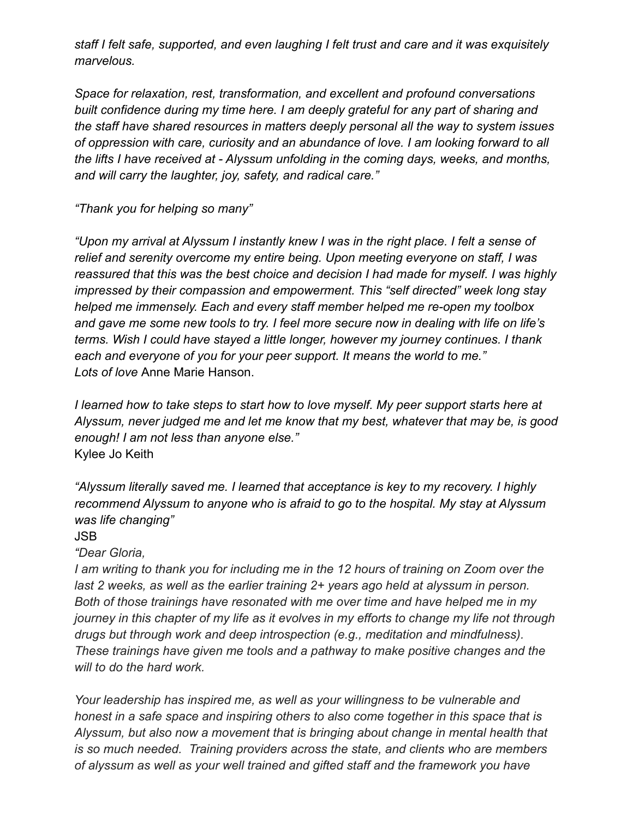*staff I felt safe, supported, and even laughing I felt trust and care and it was exquisitely marvelous.*

*Space for relaxation, rest, transformation, and excellent and profound conversations built confidence during my time here. I am deeply grateful for any part of sharing and the staff have shared resources in matters deeply personal all the way to system issues of oppression with care, curiosity and an abundance of love. I am looking forward to all the lifts I have received at - Alyssum unfolding in the coming days, weeks, and months, and will carry the laughter, joy, safety, and radical care."*

*"Thank you for helping so many"*

*"Upon my arrival at Alyssum I instantly knew I was in the right place. I felt a sense of relief and serenity overcome my entire being. Upon meeting everyone on staff, I was reassured that this was the best choice and decision I had made for myself. I was highly impressed by their compassion and empowerment. This "self directed" week long stay helped me immensely. Each and every staff member helped me re-open my toolbox and gave me some new tools to try. I feel more secure now in dealing with life on life's terms. Wish I could have stayed a little longer, however my journey continues. I thank each and everyone of you for your peer support. It means the world to me." Lots of love* Anne Marie Hanson.

*I learned how to take steps to start how to love myself. My peer support starts here at Alyssum, never judged me and let me know that my best, whatever that may be, is good enough! I am not less than anyone else."* Kylee Jo Keith

*"Alyssum literally saved me. I learned that acceptance is key to my recovery. I highly recommend Alyssum to anyone who is afraid to go to the hospital. My stay at Alyssum was life changing"*

#### JSB

#### *"Dear Gloria,*

*I am writing to thank you for including me in the 12 hours of training on Zoom over the last 2 weeks, as well as the earlier training 2+ years ago held at alyssum in person. Both of those trainings have resonated with me over time and have helped me in my journey in this chapter of my life as it evolves in my efforts to change my life not through drugs but through work and deep introspection (e.g., meditation and mindfulness). These trainings have given me tools and a pathway to make positive changes and the will to do the hard work.*

*Your leadership has inspired me, as well as your willingness to be vulnerable and honest in a safe space and inspiring others to also come together in this space that is Alyssum, but also now a movement that is bringing about change in mental health that is so much needed. Training providers across the state, and clients who are members of alyssum as well as your well trained and gifted staff and the framework you have*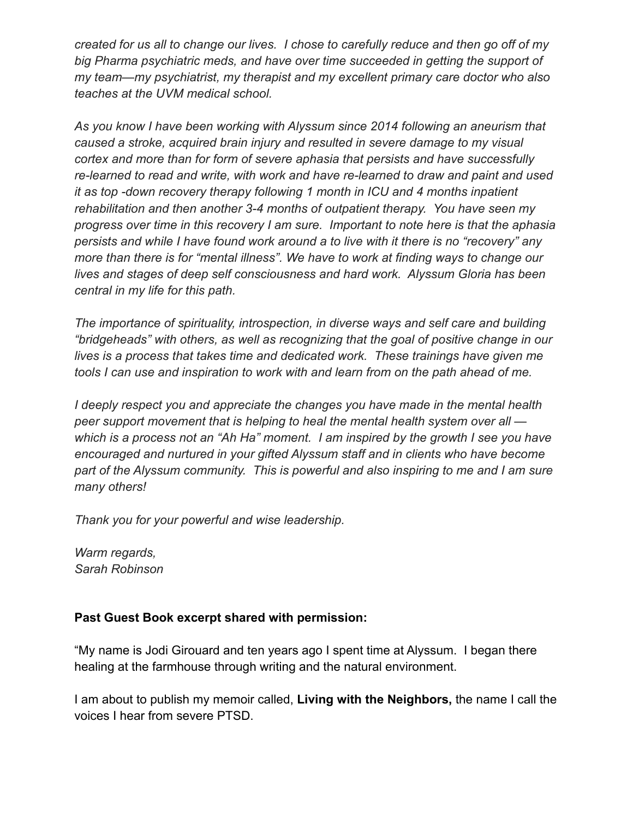*created for us all to change our lives. I chose to carefully reduce and then go off of my big Pharma psychiatric meds, and have over time succeeded in getting the support of my team—my psychiatrist, my therapist and my excellent primary care doctor who also teaches at the UVM medical school.*

*As you know I have been working with Alyssum since 2014 following an aneurism that caused a stroke, acquired brain injury and resulted in severe damage to my visual cortex and more than for form of severe aphasia that persists and have successfully re-learned to read and write, with work and have re-learned to draw and paint and used it as top -down recovery therapy following 1 month in ICU and 4 months inpatient rehabilitation and then another 3-4 months of outpatient therapy. You have seen my progress over time in this recovery I am sure. Important to note here is that the aphasia persists and while I have found work around a to live with it there is no "recovery" any more than there is for "mental illness". We have to work at finding ways to change our lives and stages of deep self consciousness and hard work. Alyssum Gloria has been central in my life for this path.*

*The importance of spirituality, introspection, in diverse ways and self care and building "bridgeheads" with others, as well as recognizing that the goal of positive change in our lives is a process that takes time and dedicated work. These trainings have given me tools I can use and inspiration to work with and learn from on the path ahead of me.*

*I deeply respect you and appreciate the changes you have made in the mental health peer support movement that is helping to heal the mental health system over all which is a process not an "Ah Ha" moment. I am inspired by the growth I see you have encouraged and nurtured in your gifted Alyssum staff and in clients who have become part of the Alyssum community. This is powerful and also inspiring to me and I am sure many others!*

*Thank you for your powerful and wise leadership.*

*Warm regards, Sarah Robinson*

### **Past Guest Book excerpt shared with permission:**

"My name is Jodi Girouard and ten years ago I spent time at Alyssum. I began there healing at the farmhouse through writing and the natural environment.

I am about to publish my memoir called, **Living with the Neighbors,** the name I call the voices I hear from severe PTSD.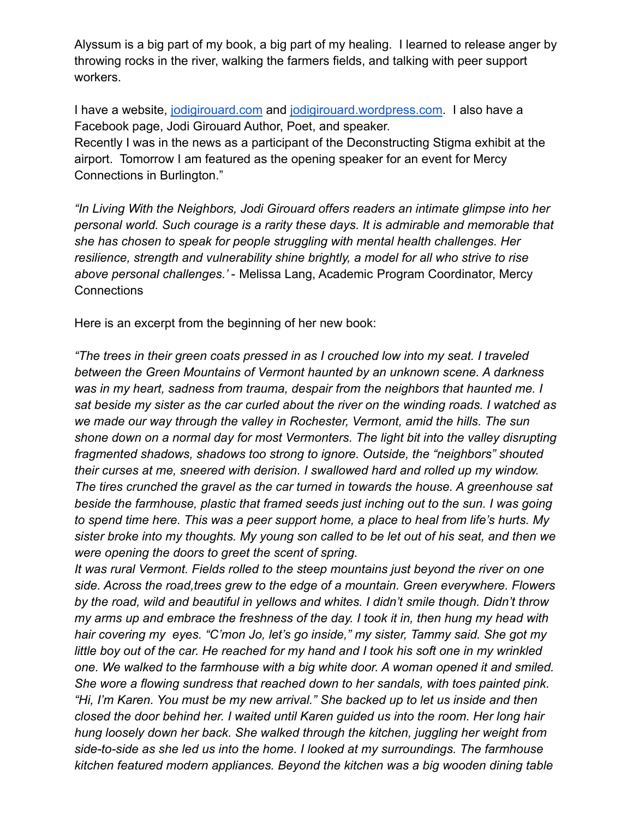Alyssum is a big part of my book, a big part of my healing. I learned to release anger by throwing rocks in the river, walking the farmers fields, and talking with peer support workers.

I have a website, [jodigirouard.com](http://jodigirouard.com/) and [jodigirouard.wordpress.com](http://jodigirouard.wordpress.com/). I also have a Facebook page, Jodi Girouard Author, Poet, and speaker.

Recently I was in the news as a participant of the Deconstructing Stigma exhibit at the airport. Tomorrow I am featured as the opening speaker for an event for Mercy Connections in Burlington."

*"In Living With the Neighbors, Jodi Girouard offers readers an intimate glimpse into her personal world. Such courage is a rarity these days. It is admirable and memorable that she has chosen to speak for people struggling with mental health challenges. Her resilience, strength and vulnerability shine brightly, a model for all who strive to rise above personal challenges.' -* Melissa Lang, Academic Program Coordinator, Mercy **Connections** 

Here is an excerpt from the beginning of her new book:

*"The trees in their green coats pressed in as I crouched low into my seat. I traveled between the Green Mountains of Vermont haunted by an unknown scene. A darkness was in my heart, sadness from trauma, despair from the neighbors that haunted me. I sat beside my sister as the car curled about the river on the winding roads. I watched as we made our way through the valley in Rochester, Vermont, amid the hills. The sun shone down on a normal day for most Vermonters. The light bit into the valley disrupting fragmented shadows, shadows too strong to ignore. Outside, the "neighbors" shouted their curses at me, sneered with derision. I swallowed hard and rolled up my window. The tires crunched the gravel as the car turned in towards the house. A greenhouse sat beside the farmhouse, plastic that framed seeds just inching out to the sun. I was going to spend time here. This was a peer support home, a place to heal from life's hurts. My sister broke into my thoughts. My young son called to be let out of his seat, and then we were opening the doors to greet the scent of spring.*

*It was rural Vermont. Fields rolled to the steep mountains just beyond the river on one side. Across the road,trees grew to the edge of a mountain. Green everywhere. Flowers by the road, wild and beautiful in yellows and whites. I didn't smile though. Didn't throw my arms up and embrace the freshness of the day. I took it in, then hung my head with hair covering my eyes. "C'mon Jo, let's go inside," my sister, Tammy said. She got my little boy out of the car. He reached for my hand and I took his soft one in my wrinkled one. We walked to the farmhouse with a big white door. A woman opened it and smiled. She wore a flowing sundress that reached down to her sandals, with toes painted pink. "Hi, I'm Karen. You must be my new arrival." She backed up to let us inside and then closed the door behind her. I waited until Karen guided us into the room. Her long hair hung loosely down her back. She walked through the kitchen, juggling her weight from side-to-side as she led us into the home. I looked at my surroundings. The farmhouse kitchen featured modern appliances. Beyond the kitchen was a big wooden dining table*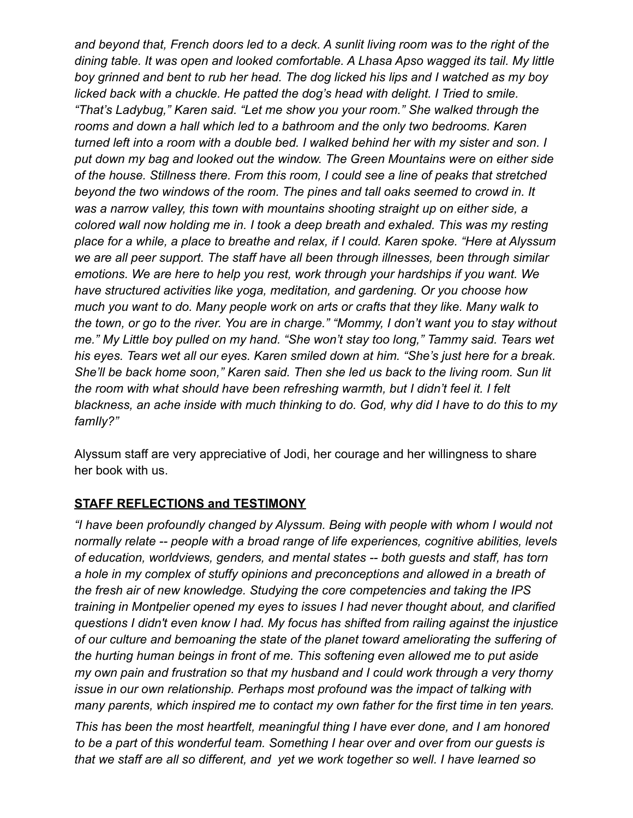*and beyond that, French doors led to a deck. A sunlit living room was to the right of the dining table. It was open and looked comfortable. A Lhasa Apso wagged its tail. My little boy grinned and bent to rub her head. The dog licked his lips and I watched as my boy licked back with a chuckle. He patted the dog's head with delight. I Tried to smile. "That's Ladybug," Karen said. "Let me show you your room." She walked through the rooms and down a hall which led to a bathroom and the only two bedrooms. Karen turned left into a room with a double bed. I walked behind her with my sister and son. I put down my bag and looked out the window. The Green Mountains were on either side of the house. Stillness there. From this room, I could see a line of peaks that stretched beyond the two windows of the room. The pines and tall oaks seemed to crowd in. It was a narrow valley, this town with mountains shooting straight up on either side, a colored wall now holding me in. I took a deep breath and exhaled. This was my resting place for a while, a place to breathe and relax, if I could. Karen spoke. "Here at Alyssum we are all peer support. The staff have all been through illnesses, been through similar emotions. We are here to help you rest, work through your hardships if you want. We have structured activities like yoga, meditation, and gardening. Or you choose how much you want to do. Many people work on arts or crafts that they like. Many walk to the town, or go to the river. You are in charge." "Mommy, I don't want you to stay without me." My Little boy pulled on my hand. "She won't stay too long," Tammy said. Tears wet his eyes. Tears wet all our eyes. Karen smiled down at him. "She's just here for a break. She'll be back home soon," Karen said. Then she led us back to the living room. Sun lit the room with what should have been refreshing warmth, but I didn't feel it. I felt blackness, an ache inside with much thinking to do. God, why did I have to do this to my famIly?"*

Alyssum staff are very appreciative of Jodi, her courage and her willingness to share her book with us.

## **STAFF REFLECTIONS and TESTIMONY**

*"I have been profoundly changed by Alyssum. Being with people with whom I would not normally relate -- people with a broad range of life experiences, cognitive abilities, levels of education, worldviews, genders, and mental states -- both guests and staff, has torn a hole in my complex of stuffy opinions and preconceptions and allowed in a breath of the fresh air of new knowledge. Studying the core competencies and taking the IPS training in Montpelier opened my eyes to issues I had never thought about, and clarified questions I didn't even know I had. My focus has shifted from railing against the injustice of our culture and bemoaning the state of the planet toward ameliorating the suffering of the hurting human beings in front of me. This softening even allowed me to put aside my own pain and frustration so that my husband and I could work through a very thorny issue in our own relationship. Perhaps most profound was the impact of talking with many parents, which inspired me to contact my own father for the first time in ten years.*

*This has been the most heartfelt, meaningful thing I have ever done, and I am honored to be a part of this wonderful team. Something I hear over and over from our guests is that we staff are all so different, and yet we work together so well. I have learned so*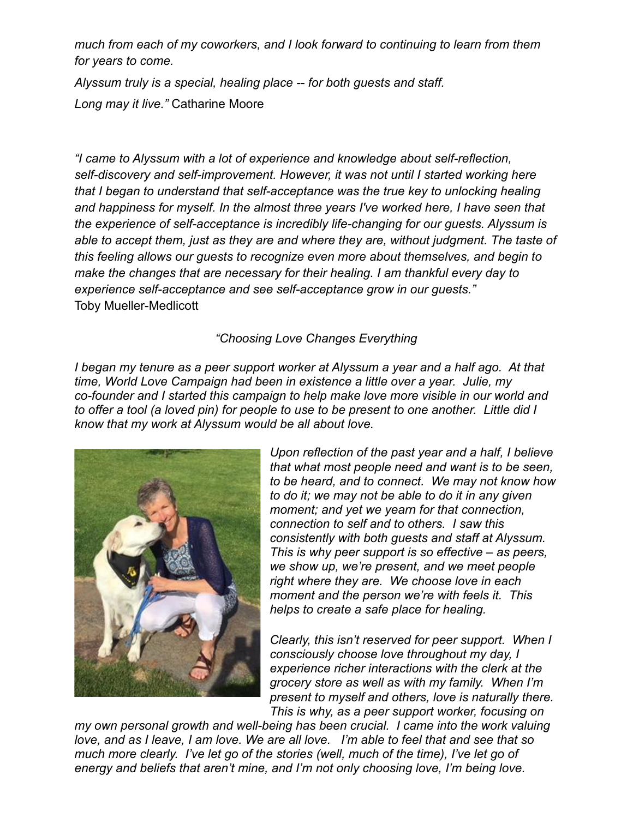*much from each of my coworkers, and I look forward to continuing to learn from them for years to come.*

*Alyssum truly is a special, healing place -- for both guests and staff. Long may it live."* Catharine Moore

*"I came to Alyssum with a lot of experience and knowledge about self-reflection, self-discovery and self-improvement. However, it was not until I started working here that I began to understand that self-acceptance was the true key to unlocking healing and happiness for myself. In the almost three years I've worked here, I have seen that the experience of self-acceptance is incredibly life-changing for our guests. Alyssum is able to accept them, just as they are and where they are, without judgment. The taste of this feeling allows our guests to recognize even more about themselves, and begin to make the changes that are necessary for their healing. I am thankful every day to experience self-acceptance and see self-acceptance grow in our guests."* Toby Mueller-Medlicott

### *"Choosing Love Changes Everything*

*I began my tenure as a peer support worker at Alyssum a year and a half ago. At that time, World Love Campaign had been in existence a little over a year. Julie, my co-founder and I started this campaign to help make love more visible in our world and to offer a tool (a loved pin) for people to use to be present to one another. Little did I know that my work at Alyssum would be all about love.*



*Upon reflection of the past year and a half, I believe that what most people need and want is to be seen, to be heard, and to connect. We may not know how to do it; we may not be able to do it in any given moment; and yet we yearn for that connection, connection to self and to others. I saw this consistently with both guests and staff at Alyssum. This is why peer support is so effective – as peers, we show up, we're present, and we meet people right where they are. We choose love in each moment and the person we're with feels it. This helps to create a safe place for healing.*

*Clearly, this isn't reserved for peer support. When I consciously choose love throughout my day, I experience richer interactions with the clerk at the grocery store as well as with my family. When I'm present to myself and others, love is naturally there. This is why, as a peer support worker, focusing on*

*my own personal growth and well-being has been crucial. I came into the work valuing love, and as I leave, I am love. We are all love. I'm able to feel that and see that so much more clearly. I've let go of the stories (well, much of the time), I've let go of energy and beliefs that aren't mine, and I'm not only choosing love, I'm being love.*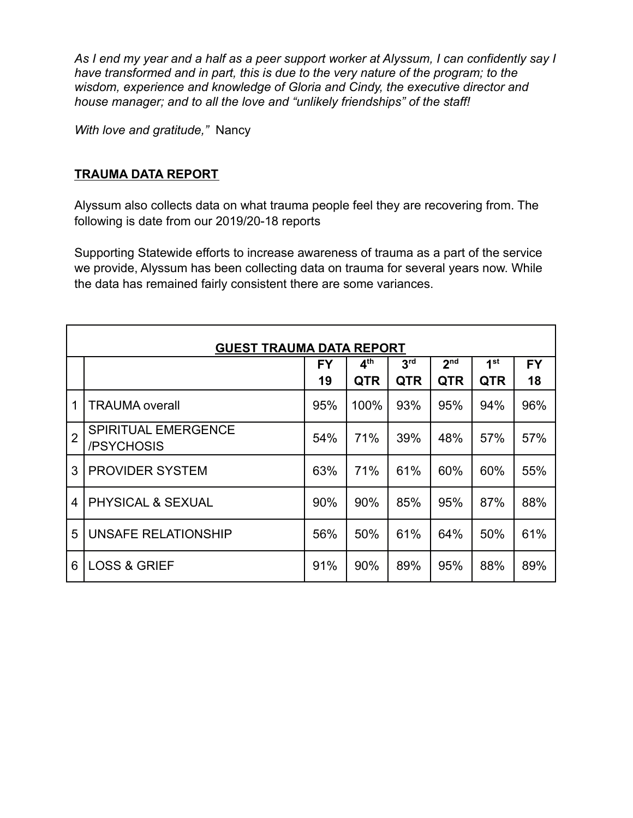*As I end my year and a half as a peer support worker at Alyssum, I can confidently say I have transformed and in part, this is due to the very nature of the program; to the wisdom, experience and knowledge of Gloria and Cindy, the executive director and house manager; and to all the love and "unlikely friendships" of the staff!*

*With love and gratitude,"* Nancy

#### **TRAUMA DATA REPORT**

Alyssum also collects data on what trauma people feel they are recovering from. The following is date from our 2019/20-18 reports

Supporting Statewide efforts to increase awareness of trauma as a part of the service we provide, Alyssum has been collecting data on trauma for several years now. While the data has remained fairly consistent there are some variances.

| <b>GUEST TRAUMA DATA REPORT</b> |                                          |           |                 |                 |                 |                 |           |
|---------------------------------|------------------------------------------|-----------|-----------------|-----------------|-----------------|-----------------|-----------|
|                                 |                                          | <b>FY</b> | 4 <sup>th</sup> | 3 <sup>rd</sup> | 2 <sub>nd</sub> | 1 <sup>st</sup> | <b>FY</b> |
|                                 |                                          | 19        | <b>QTR</b>      | <b>QTR</b>      | <b>QTR</b>      | <b>QTR</b>      | 18        |
| 1                               | <b>TRAUMA</b> overall                    | 95%       | 100%            | 93%             | 95%             | 94%             | 96%       |
| $\overline{2}$                  | <b>SPIRITUAL EMERGENCE</b><br>/PSYCHOSIS | 54%       | 71%             | 39%             | 48%             | 57%             | 57%       |
| 3                               | <b>PROVIDER SYSTEM</b>                   | 63%       | 71%             | 61%             | 60%             | 60%             | 55%       |
| $\overline{4}$                  | <b>PHYSICAL &amp; SEXUAL</b>             | 90%       | 90%             | 85%             | 95%             | 87%             | 88%       |
| 5                               | UNSAFE RELATIONSHIP                      | 56%       | 50%             | 61%             | 64%             | 50%             | 61%       |
| 6                               | <b>LOSS &amp; GRIEF</b>                  | 91%       | 90%             | 89%             | 95%             | 88%             | 89%       |